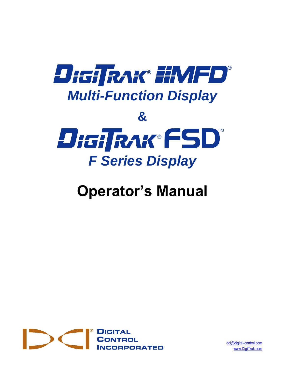

# **Operator's Manual**



[dci@digital-control.com](mailto:dci@digital-control.com) [www.DigiTrak.com](http://www.digitrak.com/)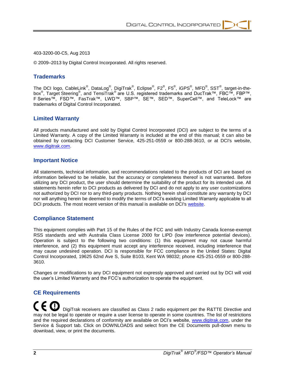#### 403-3200-00-C5, Aug 2013

© 2009–2013 by Digital Control Incorporated. All rights reserved.

#### **Trademarks**

The DCI logo, CableLink®, DataLog®, DigiTrak®, Eclipse®, F2®, F5®, iGPS®, MFD®, SST®, target-in-thebox<sup>®</sup>, Target Steering<sup>®</sup>, and TensiTrak<sup>®</sup> are U.S. registered trademarks and DucTrak™, FBC™, FBP™, F Series™, FSD™, FasTrak™, LWD™, SBP™, SE™, SED™, SuperCell™, and TeleLock™ are trademarks of Digital Control Incorporated.

#### **Limited Warranty**

All products manufactured and sold by Digital Control Incorporated (DCI) are subject to the terms of a Limited Warranty. A copy of the Limited Warranty is included at the end of this manual; it can also be obtained by contacting DCI Customer Service, 425-251-0559 or 800-288-3610, or at DCI's website, [www.digitrak.com.](http://www.digitrak.com/)

#### **Important Notice**

All statements, technical information, and recommendations related to the products of DCI are based on information believed to be reliable, but the accuracy or completeness thereof is not warranted. Before utilizing any DCI product, the user should determine the suitability of the product for its intended use. All statements herein refer to DCI products as delivered by DCI and do not apply to any user customizations not authorized by DCI nor to any third-party products. Nothing herein shall constitute any warranty by DCI nor will anything herein be deemed to modify the terms of DCI's existing Limited Warranty applicable to all DCI products. The most recent version of this manual is available on DCI's [website.](http://www.digitrak.com/customerservice/downloads.html)

#### **Compliance Statement**

This equipment complies with Part 15 of the Rules of the FCC and with Industry Canada license-exempt RSS standards and with Australia Class License 2000 for LIPD (low interference potential devices). Operation is subject to the following two conditions: (1) this equipment may not cause harmful interference, and (2) this equipment must accept any interference received, including interference that may cause undesired operation. DCI is responsible for FCC compliance in the United States: Digital Control Incorporated, 19625 62nd Ave S, Suite B103, Kent WA 98032; phone 425-251-0559 or 800-288- 3610.

Changes or modifications to any DCI equipment not expressly approved and carried out by DCI will void the user's Limited Warranty and the FCC's authorization to operate the equipment.

#### **CE Requirements**

 DigiTrak receivers are classified as Class 2 radio equipment per the R&TTE Directive and may not be legal to operate or require a user license to operate in some countries. The list of restrictions and the required declarations of conformity are available on DCI's website, [www.digitrak.com,](http://www.digitrak.com/customerservice/downloads.html) under the Service & Support tab. Click on DOWNLOADS and select from the CE Documents pull-down menu to download, view, or print the documents.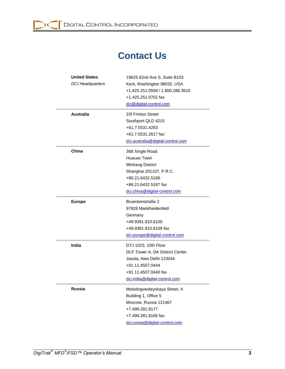

# **Contact Us**

| <b>United States</b><br><b>DCI Headquarters</b> | 19625 62nd Ave S, Suite B103<br>Kent, Washington 98032, USA<br>+1.425.251.0559 / 1.800.288.3610 |  |  |
|-------------------------------------------------|-------------------------------------------------------------------------------------------------|--|--|
|                                                 |                                                                                                 |  |  |
|                                                 | +1.425.251.0702 fax                                                                             |  |  |
|                                                 | dci@digital-control.com                                                                         |  |  |
| <b>Australia</b>                                | 2/9 Frinton Street                                                                              |  |  |
|                                                 | Southport QLD 4215                                                                              |  |  |
|                                                 | +61.7.5531.4283                                                                                 |  |  |
|                                                 | +61.7.5531.2617 fax                                                                             |  |  |
|                                                 | dci.australia@digital-control.com                                                               |  |  |
| China                                           | 368 Xingle Road                                                                                 |  |  |
|                                                 | Huacao Town                                                                                     |  |  |
|                                                 | <b>Minhang District</b>                                                                         |  |  |
|                                                 | Shanghai 201107, P.R.C.                                                                         |  |  |
|                                                 | +86.21.6432.5186                                                                                |  |  |
|                                                 | +86.21.6432.5187 fax                                                                            |  |  |
|                                                 | dci.china@digital-control.com                                                                   |  |  |
| <b>Europe</b>                                   | Brueckenstraße 2                                                                                |  |  |
|                                                 | 97828 Marktheidenfeld                                                                           |  |  |
|                                                 | Germany                                                                                         |  |  |
|                                                 | +49.9391.810.6100                                                                               |  |  |
|                                                 | +49.9391.810.6109 fax                                                                           |  |  |
|                                                 | dci.europe@digital-control.com                                                                  |  |  |
| India                                           | DTJ 1023, 10th Floor                                                                            |  |  |
|                                                 | DLF Tower A, DA District Center                                                                 |  |  |
|                                                 | Jasola, New Delhi 110044                                                                        |  |  |
|                                                 | +91.11.4507.0444                                                                                |  |  |
|                                                 | +91.11.4507.0440 fax                                                                            |  |  |
|                                                 | dci.india@digital-control.com                                                                   |  |  |
| <b>Russia</b>                                   | Molodogvardeyskaya Street, 4                                                                    |  |  |
|                                                 | Building 1, Office 5                                                                            |  |  |
|                                                 | Moscow, Russia 121467                                                                           |  |  |
|                                                 | +7.499.281.8177                                                                                 |  |  |
|                                                 | +7.499.281.8166 fax                                                                             |  |  |
|                                                 | dci.russia@digital-control.com                                                                  |  |  |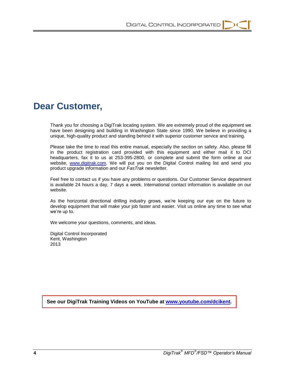

# **Dear Customer,**

Thank you for choosing a DigiTrak locating system. We are extremely proud of the equipment we have been designing and building in Washington State since 1990. We believe in providing a unique, high-quality product and standing behind it with superior customer service and training.

Please take the time to read this entire manual, especially the section on safety. Also, please fill in the product registration card provided with this equipment and either mail it to DCI headquarters, fax it to us at 253-395-2800, or complete and submit the form online at our website, [www.digitrak.com.](http://www.digitrak.com/) We will put you on the Digital Control mailing list and send you product upgrade information and our *FasTrak* newsletter.

Feel free to contact us if you have any problems or questions. Our Customer Service department is available 24 hours a day, 7 days a week. International contact information is available on our website.

As the horizontal directional drilling industry grows, we're keeping our eye on the future to develop equipment that will make your job faster and easier. Visit us online any time to see what we're up to.

We welcome your questions, comments, and ideas.

Digital Control Incorporated Kent, Washington 2013

**See our DigiTrak Training Videos on YouTube at [www.youtube.com/dcikent.](http://www.youtube.com/dcikent)**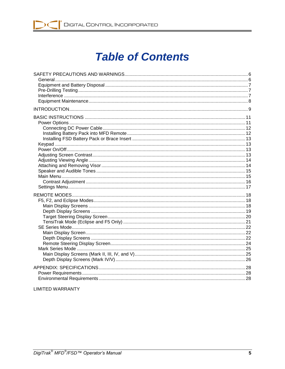

# **Table of Contents**

#### **LIMITED WARRANTY**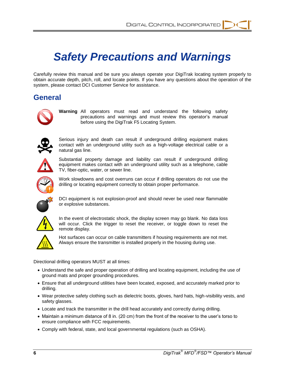# *Safety Precautions and Warnings*

<span id="page-5-0"></span>Carefully review this manual and be sure you always operate your DigiTrak locating system properly to obtain accurate depth, pitch, roll, and locate points. If you have any questions about the operation of the system, please contact DCI Customer Service for assistance.

## <span id="page-5-1"></span>**General**



**Warning** All operators must read and understand the following safety precautions and warnings and must review this operator's manual before using the DigiTrak F5 Locating System.



Serious injury and death can result if underground drilling equipment makes contact with an underground utility such as a high-voltage electrical cable or a natural gas line.



Substantial property damage and liability can result if underground drilling equipment makes contact with an underground utility such as a telephone, cable TV, fiber-optic, water, or sewer line.



Work slowdowns and cost overruns can occur if drilling operators do not use the drilling or locating equipment correctly to obtain proper performance.



DCI equipment is not explosion-proof and should never be used near flammable or explosive substances.



In the event of electrostatic shock, the display screen may go blank. No data loss will occur. Click the trigger to reset the receiver, or toggle down to reset the remote display.



Hot surfaces can occur on cable transmitters if housing requirements are not met. Always ensure the transmitter is installed properly in the housing during use.

Directional drilling operators MUST at all times:

- Understand the safe and proper operation of drilling and locating equipment, including the use of ground mats and proper grounding procedures.
- Ensure that all underground utilities have been located, exposed, and accurately marked prior to drilling.
- Wear protective safety clothing such as dielectric boots, gloves, hard hats, high-visibility vests, and safety glasses.
- Locate and track the transmitter in the drill head accurately and correctly during drilling.
- Maintain a minimum distance of 8 in. (20 cm) from the front of the receiver to the user's torso to ensure compliance with FCC requirements.
- Comply with federal, state, and local governmental regulations (such as OSHA).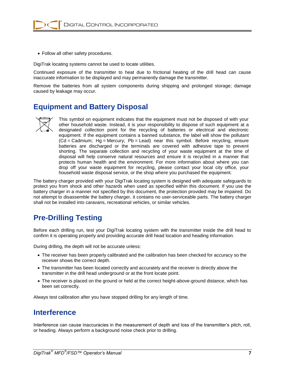

Follow all other safety procedures.

DigiTrak locating systems cannot be used to locate utilities.

Continued exposure of the transmitter to heat due to frictional heating of the drill head can cause inaccurate information to be displayed and may permanently damage the transmitter.

Remove the batteries from all system components during shipping and prolonged storage; damage caused by leakage may occur.

## <span id="page-6-0"></span>**Equipment and Battery Disposal**



This symbol on equipment indicates that the equipment must not be disposed of with your other household waste. Instead, it is your responsibility to dispose of such equipment at a designated collection point for the recycling of batteries or electrical and electronic equipment. If the equipment contains a banned substance, the label will show the pollutant (Cd = Cadmium; Hg = Mercury; Pb = Lead) near this symbol. Before recycling, ensure batteries are discharged or the terminals are covered with adhesive tape to prevent shorting. The separate collection and recycling of your waste equipment at the time of disposal will help conserve natural resources and ensure it is recycled in a manner that protects human health and the environment. For more information about where you can drop off your waste equipment for recycling, please contact your local city office, your household waste disposal service, or the shop where you purchased the equipment.

The battery charger provided with your DigiTrak locating system is designed with adequate safeguards to protect you from shock and other hazards when used as specified within this document. If you use the battery charger in a manner not specified by this document, the protection provided may be impaired. Do not attempt to disassemble the battery charger, it contains no user-serviceable parts. The battery charger shall not be installed into caravans, recreational vehicles, or similar vehicles.

# <span id="page-6-1"></span>**Pre-Drilling Testing**

Before each drilling run, test your DigiTrak locating system with the transmitter inside the drill head to confirm it is operating properly and providing accurate drill head location and heading information.

During drilling, the depth will not be accurate unless:

- The receiver has been properly calibrated and the calibration has been checked for accuracy so the receiver shows the correct depth.
- The transmitter has been located correctly and accurately and the receiver is directly above the transmitter in the drill head underground or at the front locate point.
- The receiver is placed on the ground or held at the correct height-above-ground distance, which has been set correctly.

Always test calibration after you have stopped drilling for any length of time.

## <span id="page-6-2"></span>**Interference**

Interference can cause inaccuracies in the measurement of depth and loss of the transmitter's pitch, roll, or heading. Always perform a background noise check prior to drilling.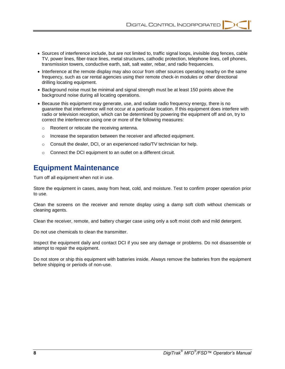- Sources of interference include, but are not limited to, traffic signal loops, invisible dog fences, cable TV, power lines, fiber-trace lines, metal structures, cathodic protection, telephone lines, cell phones, transmission towers, conductive earth, salt, salt water, rebar, and radio frequencies.
- Interference at the remote display may also occur from other sources operating nearby on the same frequency, such as car rental agencies using their remote check-in modules or other directional drilling locating equipment.
- Background noise must be minimal and signal strength must be at least 150 points above the background noise during all locating operations.
- Because this equipment may generate, use, and radiate radio frequency energy, there is no guarantee that interference will not occur at a particular location. If this equipment does interfere with radio or television reception, which can be determined by powering the equipment off and on, try to correct the interference using one or more of the following measures:
	- o Reorient or relocate the receiving antenna.
	- o Increase the separation between the receiver and affected equipment.
	- o Consult the dealer, DCI, or an experienced radio/TV technician for help.
	- o Connect the DCI equipment to an outlet on a different circuit.

## <span id="page-7-0"></span>**Equipment Maintenance**

Turn off all equipment when not in use.

Store the equipment in cases, away from heat, cold, and moisture. Test to confirm proper operation prior to use.

Clean the screens on the receiver and remote display using a damp soft cloth without chemicals or cleaning agents.

Clean the receiver, remote, and battery charger case using only a soft moist cloth and mild detergent.

Do not use chemicals to clean the transmitter.

Inspect the equipment daily and contact DCI if you see any damage or problems. Do not disassemble or attempt to repair the equipment.

Do not store or ship this equipment with batteries inside. Always remove the batteries from the equipment before shipping or periods of non-use.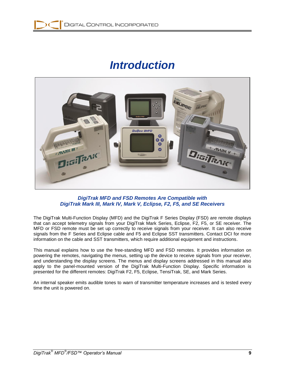# *Introduction*

<span id="page-8-0"></span>

#### *DigiTrak MFD and FSD Remotes Are Compatible with DigiTrak Mark III, Mark IV, Mark V, Eclipse, F2, F5, and SE Receivers*

The DigiTrak Multi-Function Display (MFD) and the DigiTrak F Series Display (FSD) are remote displays that can accept telemetry signals from your DigiTrak Mark Series, Eclipse, F2, F5, or SE receiver. The MFD or FSD remote must be set up correctly to receive signals from your receiver. It can also receive signals from the F Series and Eclipse cable and F5 and Eclipse SST transmitters. Contact DCI for more information on the cable and SST transmitters, which require additional equipment and instructions.

This manual explains how to use the free-standing MFD and FSD remotes. It provides information on powering the remotes, navigating the menus, setting up the device to receive signals from your receiver, and understanding the display screens. The menus and display screens addressed in this manual also apply to the panel-mounted version of the DigiTrak Multi-Function Display. Specific information is presented for the different remotes: DigiTrak F2, F5, Eclipse, TensiTrak, SE, and Mark Series.

An internal speaker emits audible tones to warn of transmitter temperature increases and is tested every time the unit is powered on.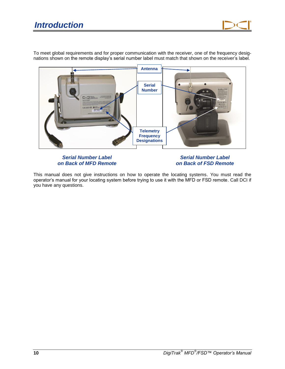To meet global requirements and for proper communication with the receiver, one of the frequency designations shown on the remote display's serial number label must match that shown on the receiver's label.



#### *Serial Number Label on Back of MFD Remote*

*Serial Number Label on Back of FSD Remote*

This manual does not give instructions on how to operate the locating systems. You must read the operator's manual for your locating system before trying to use it with the MFD or FSD remote. Call DCI if you have any questions.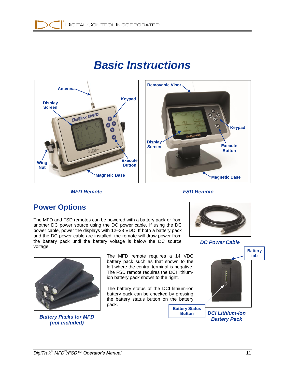# *Basic Instructions*

<span id="page-10-0"></span>





# <span id="page-10-1"></span>**Power Options**

The MFD and FSD remotes can be powered with a battery pack or from another DC power source using the DC power cable. If using the DC power cable, power the displays with 12–28 VDC. If both a battery pack and the DC power cable are installed, the remote will draw power from the battery pack until the battery voltage is below the DC source voltage.



*DC Power Cable*



*Battery Packs for MFD (not included)*

The MFD remote requires a 14 VDC battery pack such as that shown to the left where the central terminal is negative. The FSD remote requires the DCI lithiumion battery pack shown to the right.

The battery status of the DCI lithium-ion battery pack can be checked by pressing the battery status button on the battery pack.

**Battery Status Button**



*DCI Lithium-Ion Battery Pack*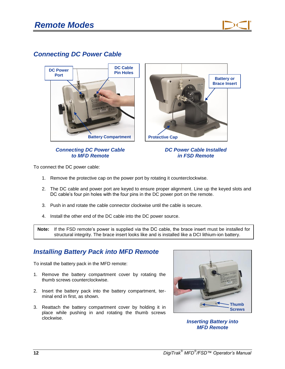



# <span id="page-11-0"></span>*Connecting DC Power Cable*

#### *Connecting DC Power Cable to MFD Remote*



#### *DC Power Cable Installed in FSD Remote*

To connect the DC power cable:

- 1. Remove the protective cap on the power port by rotating it counterclockwise.
- 2. The DC cable and power port are keyed to ensure proper alignment. Line up the keyed slots and DC cable's four pin holes with the four pins in the DC power port on the remote.
- 3. Push in and rotate the cable connector clockwise until the cable is secure.
- 4. Install the other end of the DC cable into the DC power source.

**Note:** If the FSD remote's power is supplied via the DC cable, the brace insert must be installed for structural integrity. The brace insert looks like and is installed like a DCI lithium-ion battery.

## <span id="page-11-1"></span>*Installing Battery Pack into MFD Remote*

To install the battery pack in the MFD remote:

- 1. Remove the battery compartment cover by rotating the thumb screws counterclockwise.
- 2. Insert the battery pack into the battery compartment, terminal end in first, as shown.
- 3. Reattach the battery compartment cover by holding it in place while pushing in and rotating the thumb screws clockwise.



*Inserting Battery into MFD Remote*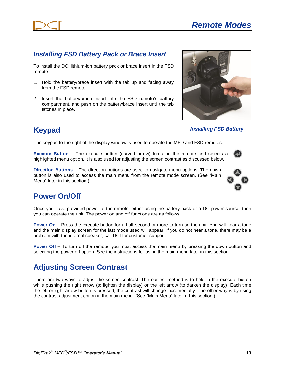

## <span id="page-12-0"></span>*Installing FSD Battery Pack or Brace Insert*

To install the DCI lithium-ion battery pack or brace insert in the FSD remote:

- 1. Hold the battery/brace insert with the tab up and facing away from the FSD remote.
- 2. Insert the battery/brace insert into the FSD remote's battery compartment, and push on the battery/brace insert until the tab latches in place.

### *Installing FSD Battery*

The keypad to the right of the display window is used to operate the MFD and FSD remotes.

**Execute Button** – The execute button (curved arrow) turns on the remote and selects a highlighted menu option. It is also used for adjusting the screen contrast as discussed below.

**Direction Buttons** – The direction buttons are used to navigate menu options. The down button is also used to access the main menu from the remote mode screen. (See "Main Menu" later in this section.)

# <span id="page-12-2"></span>**Power On/Off**

<span id="page-12-1"></span>**Keypad**

Once you have provided power to the remote, either using the battery pack or a DC power source, then you can operate the unit. The power on and off functions are as follows.

**Power On** – Press the execute button for a half-second or more to turn on the unit. You will hear a tone and the main display screen for the last mode used will appear. If you do not hear a tone, there may be a problem with the internal speaker; call DCI for customer support.

**Power Off** – To turn off the remote, you must access the main menu by pressing the down button and selecting the power off option. See the instructions for using the main menu later in this section.

# <span id="page-12-3"></span>**Adjusting Screen Contrast**

There are two ways to adjust the screen contrast. The easiest method is to hold in the execute button while pushing the right arrow (to lighten the display) or the left arrow (to darken the display). Each time the left or right arrow button is pressed, the contrast will change incrementally. The other way is by using the contrast adjustment option in the main menu. (See "Main Menu" later in this section.)



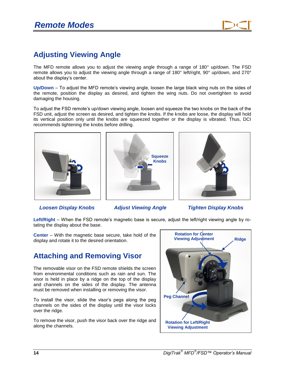# <span id="page-13-0"></span>**Adjusting Viewing Angle**

The MFD remote allows you to adjust the viewing angle through a range of 180° up/down. The FSD remote allows you to adjust the viewing angle through a range of 180° left/right, 90° up/down, and 270° about the display's center.

**Up/Down** – To adjust the MFD remote's viewing angle, loosen the large black wing nuts on the sides of the remote, position the display as desired, and tighten the wing nuts. Do not overtighten to avoid damaging the housing.

To adjust the FSD remote's up/down viewing angle, loosen and squeeze the two knobs on the back of the FSD unit, adjust the screen as desired, and tighten the knobs. If the knobs are loose, the display will hold its vertical position only until the knobs are squeezed together or the display is vibrated. Thus, DCI recommends tightening the knobs before drilling.







*Loosen Display Knobs Adjust Viewing Angle Tighten Display Knobs*

**Left/Right** – When the FSD remote's magnetic base is secure, adjust the left/right viewing angle by rotating the display about the base.

**Center** – With the magnetic base secure, take hold of the display and rotate it to the desired orientation.

# <span id="page-13-1"></span>**Attaching and Removing Visor**

The removable visor on the FSD remote shields the screen from environmental conditions such as rain and sun. The visor is held in place by a ridge on the top of the display and channels on the sides of the display. The antenna must be removed when installing or removing the visor.

To install the visor, slide the visor's pegs along the peg channels on the sides of the display until the visor locks over the ridge.

To remove the visor, push the visor back over the ridge and along the channels.

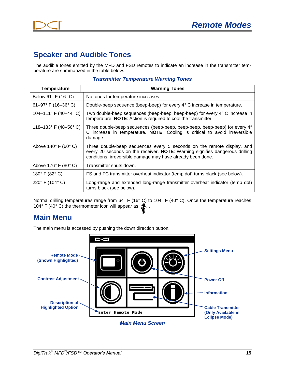



# <span id="page-14-0"></span>**Speaker and Audible Tones**

The audible tones emitted by the MFD and FSD remotes to indicate an increase in the transmitter temperature are summarized in the table below.

| Temperature                             | <b>Warning Tones</b>                                                                                                                                                                                                  |
|-----------------------------------------|-----------------------------------------------------------------------------------------------------------------------------------------------------------------------------------------------------------------------|
| Below $61^\circ$ F (16 $^\circ$ C)      | No tones for temperature increases.                                                                                                                                                                                   |
| 61-97° F (16-36° C)                     | Double-beep sequence (beep-beep) for every 4° C increase in temperature.                                                                                                                                              |
| 104-111° F (40-44° C)                   | Two double-beep sequences (beep-beep, beep-beep) for every 4° C increase in<br>temperature. NOTE: Action is required to cool the transmitter.                                                                         |
| 118-133° F (48-56° C)                   | Three double-beep sequences (beep-beep, beep-beep, beep-beep) for every 4°<br>C increase in temperature. NOTE: Cooling is critical to avoid irreversible<br>damage.                                                   |
| Above $140^\circ$ F (60 $^\circ$ C)     | Three double-beep sequences every 5 seconds on the remote display, and<br>every 20 seconds on the receiver. NOTE: Warning signifies dangerous drilling<br>conditions; irreversible damage may have already been done. |
| Above $176^{\circ}$ F (80 $^{\circ}$ C) | Transmitter shuts down.                                                                                                                                                                                               |
| 180° F (82° C)                          | FS and FC transmitter overheat indicator (temp dot) turns black (see below).                                                                                                                                          |
| 220° F (104° C)                         | Long-range and extended long-range transmitter overheat indicator (temp dot)<br>turns black (see below).                                                                                                              |

#### *Transmitter Temperature Warning Tones*

Normal drilling temperatures range from 64° F (16° C) to 104° F (40° C). Once the temperature reaches 104° F (40° C) the thermometer icon will appear as  $\frac{4}{3}$ .

## <span id="page-14-1"></span>**Main Menu**

The main menu is accessed by pushing the down direction button.

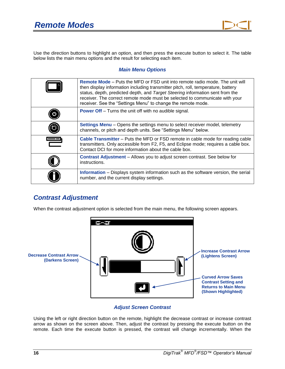

Use the direction buttons to highlight an option, and then press the execute button to select it. The table below lists the main menu options and the result for selecting each item.

#### *Main Menu Options*

|              | <b>Remote Mode – Puts the MFD or FSD unit into remote radio mode. The unit will</b><br>then display information including transmitter pitch, roll, temperature, battery<br>status, depth, predicted depth, and Target Steering information sent from the<br>receiver. The correct remote mode must be selected to communicate with your<br>receiver. See the "Settings Menu" to change the remote mode. |
|--------------|---------------------------------------------------------------------------------------------------------------------------------------------------------------------------------------------------------------------------------------------------------------------------------------------------------------------------------------------------------------------------------------------------------|
|              | <b>Power Off</b> – Turns the unit off with no audible signal.                                                                                                                                                                                                                                                                                                                                           |
|              | <b>Settings Menu</b> – Opens the settings menu to select receiver model, telemetry<br>channels, or pitch and depth units. See "Settings Menu" below.                                                                                                                                                                                                                                                    |
| $\ddot{\Xi}$ | <b>Cable Transmitter</b> – Puts the MFD or FSD remote in cable mode for reading cable<br>transmitters. Only accessible from F2, F5, and Eclipse mode; requires a cable box.<br>Contact DCI for more information about the cable box.                                                                                                                                                                    |
|              | <b>Contrast Adjustment - Allows you to adjust screen contrast. See below for</b><br>instructions.                                                                                                                                                                                                                                                                                                       |
|              | Information - Displays system information such as the software version, the serial<br>number, and the current display settings.                                                                                                                                                                                                                                                                         |

### <span id="page-15-0"></span>*Contrast Adjustment*

When the contrast adjustment option is selected from the main menu, the following screen appears.



#### *Adjust Screen Contrast*

Using the left or right direction button on the remote, highlight the decrease contrast or increase contrast arrow as shown on the screen above. Then, adjust the contrast by pressing the execute button on the remote. Each time the execute button is pressed, the contrast will change incrementally. When the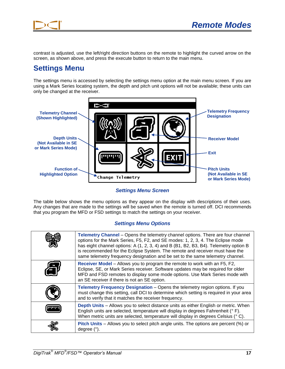

contrast is adjusted, use the left/right direction buttons on the remote to highlight the curved arrow on the screen, as shown above, and press the execute button to return to the main menu.

# <span id="page-16-0"></span>**Settings Menu**

The settings menu is accessed by selecting the settings menu option at the main menu screen. If you are using a Mark Series locating system, the depth and pitch unit options will not be available; these units can only be changed at the receiver.



*Settings Menu Screen*

The table below shows the menu options as they appear on the display with descriptions of their uses. Any changes that are made to the settings will be saved when the remote is turned off. DCI recommends that you program the MFD or FSD settings to match the settings on your receiver.

#### *Settings Menu Options*

|        | Telemetry Channel – Opens the telemetry channel options. There are four channel<br>options for the Mark Series, F5, F2, and SE modes: 1, 2, 3, 4. The Eclipse mode<br>has eight channel options: A (1, 2, 3, 4) and B (B1, B2, B3, B4). Telemetry option B<br>is recommended for the Eclipse System. The remote and receiver must have the<br>same telemetry frequency designation and be set to the same telemetry channel. |
|--------|------------------------------------------------------------------------------------------------------------------------------------------------------------------------------------------------------------------------------------------------------------------------------------------------------------------------------------------------------------------------------------------------------------------------------|
|        | Receiver Model - Allows you to program the remote to work with an F5, F2,<br>Eclipse, SE, or Mark Series receiver. Software updates may be required for older<br>MFD and FSD remotes to display some mode options. Use Mark Series mode with<br>an SE receiver if there is not an SE option.                                                                                                                                 |
|        | Telemetry Frequency Designation - Opens the telemetry region options. If you<br>must change this setting, call DCI to determine which setting is required in your area<br>and to verify that it matches the receiver frequency.                                                                                                                                                                                              |
| יייייי | <b>Depth Units</b> – Allows you to select distance units as either English or metric. When<br>English units are selected, temperature will display in degrees Fahrenheit (°F).<br>When metric units are selected, temperature will display in degrees Celsius (°C).                                                                                                                                                          |
|        | Pitch Units – Allows you to select pitch angle units. The options are percent (%) or<br>degree $(°)$ .                                                                                                                                                                                                                                                                                                                       |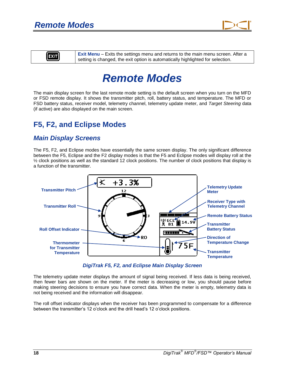

<span id="page-17-0"></span>

**Exit Menu** – Exits the settings menu and returns to the main menu screen. After a setting is changed, the exit option is automatically highlighted for selection.

# *Remote Modes*

The main display screen for the last remote mode setting is the default screen when you turn on the MFD or FSD remote display. It shows the transmitter pitch, roll, battery status, and temperature. The MFD or FSD battery status, receiver model, telemetry channel, telemetry update meter, and *Target Steering* data (if active) are also displayed on the main screen.

# <span id="page-17-1"></span>**F5, F2, and Eclipse Modes**

### <span id="page-17-2"></span>*Main Display Screens*

The F5, F2, and Eclipse modes have essentially the same screen display. The only significant difference between the F5, Eclipse and the F2 display modes is that the F5 and Eclipse modes will display roll at the  $\frac{1}{2}$  clock positions as well as the standard 12 clock positions. The number of clock positions that display is a function of the transmitter.



*DigiTrak F5, F2, and Eclipse Main Display Screen*

The telemetry update meter displays the amount of signal being received. If less data is being received, then fewer bars are shown on the meter. If the meter is decreasing or low, you should pause before making steering decisions to ensure you have correct data. When the meter is empty, telemetry data is not being received and the information will disappear.

The roll offset indicator displays when the receiver has been programmed to compensate for a difference between the transmitter's 12 o'clock and the drill head's 12 o'clock positions.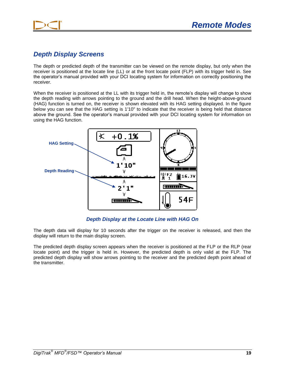

## <span id="page-18-0"></span>*Depth Display Screens*

The depth or predicted depth of the transmitter can be viewed on the remote display, but only when the receiver is positioned at the locate line (LL) or at the front locate point (FLP) with its trigger held in. See the operator's manual provided with your DCI locating system for information on correctly positioning the receiver.

When the receiver is positioned at the LL with its trigger held in, the remote's display will change to show the depth reading with arrows pointing to the ground and the drill head. When the height-above-ground (HAG) function is turned on, the receiver is shown elevated with its HAG setting displayed. In the figure below you can see that the HAG setting is 1'10" to indicate that the receiver is being held that distance above the ground. See the operator's manual provided with your DCI locating system for information on using the HAG function.



*Depth Display at the Locate Line with HAG On*

The depth data will display for 10 seconds after the trigger on the receiver is released, and then the display will return to the main display screen.

The predicted depth display screen appears when the receiver is positioned at the FLP or the RLP (rear locate point) and the trigger is held in. However, the predicted depth is only valid at the FLP. The predicted depth display will show arrows pointing to the receiver and the predicted depth point ahead of the transmitter.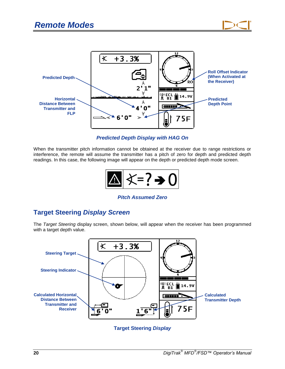



*Predicted Depth Display with HAG On*

When the transmitter pitch information cannot be obtained at the receiver due to range restrictions or interference, the remote will assume the transmitter has a pitch of zero for depth and predicted depth readings. In this case, the following image will appear on the depth or predicted depth mode screen.



### *Pitch Assumed Zero*

## <span id="page-19-0"></span>**Target Steering** *Display Screen*

The *Target Steering* display screen, shown below, will appear when the receiver has been programmed with a target depth value.



**Target Steering** *Display*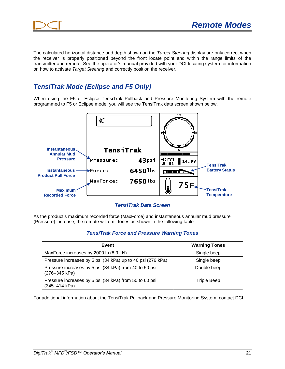

The calculated horizontal distance and depth shown on the *Target Steering* display are only correct when the receiver is properly positioned beyond the front locate point and within the range limits of the transmitter and remote. See the operator's manual provided with your DCI locating system for information on how to activate *Target Steering* and correctly position the receiver.

## <span id="page-20-0"></span>*TensiTrak Mode (Eclipse and F5 Only)*

When using the F5 or Eclipse TensiTrak Pullback and Pressure Monitoring System with the remote programmed to F5 or Eclipse mode, you will see the TensiTrak data screen shown below.



*TensiTrak Data Screen*

As the product's maximum recorded force (MaxForce) and instantaneous annular mud pressure (Pressure) increase, the remote will emit tones as shown in the following table.

#### *TensiTrak Force and Pressure Warning Tones*

| Event                                                                   | <b>Warning Tones</b> |
|-------------------------------------------------------------------------|----------------------|
| MaxForce increases by 2000 lb (8.9 kN)                                  | Single beep          |
| Pressure increases by 5 psi (34 kPa) up to 40 psi (276 kPa)             | Single beep          |
| Pressure increases by 5 psi (34 kPa) from 40 to 50 psi<br>(276-345 kPa) | Double beep          |
| Pressure increases by 5 psi (34 kPa) from 50 to 60 psi<br>(345-414 kPa) | <b>Triple Beep</b>   |

For additional information about the TensiTrak Pullback and Pressure Monitoring System, contact DCI.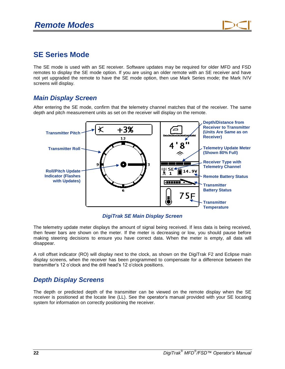

## <span id="page-21-0"></span>**SE Series Mode**

The SE mode is used with an SE receiver. Software updates may be required for older MFD and FSD remotes to display the SE mode option. If you are using an older remote with an SE receiver and have not yet upgraded the remote to have the SE mode option, then use Mark Series mode; the Mark IV/V screens will display.

### <span id="page-21-1"></span>*Main Display Screen*

After entering the SE mode, confirm that the telemetry channel matches that of the receiver. The same depth and pitch measurement units as set on the receiver will display on the remote.



*DigiTrak SE Main Display Screen*

The telemetry update meter displays the amount of signal being received. If less data is being received, then fewer bars are shown on the meter. If the meter is decreasing or low, you should pause before making steering decisions to ensure you have correct data. When the meter is empty, all data will disappear.

A roll offset indicator (RO) will display next to the clock, as shown on the DigiTrak F2 and Eclipse main display screens, when the receiver has been programmed to compensate for a difference between the transmitter's 12 o'clock and the drill head's 12 o'clock positions.

### <span id="page-21-2"></span>*Depth Display Screens*

The depth or predicted depth of the transmitter can be viewed on the remote display when the SE receiver is positioned at the locate line (LL). See the operator's manual provided with your SE locating system for information on correctly positioning the receiver.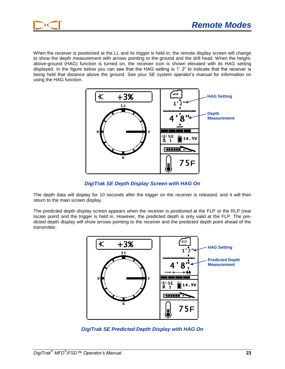

When the receiver is positioned at the LL and its trigger is held in, the remote display screen will change to show the depth measurement with arrows pointing to the ground and the drill head. When the heightabove-ground (HAG) function is turned on, the receiver icon is shown elevated with its HAG setting displayed. In the figure below you can see that the HAG setting is 1' 2" to indicate that the receiver is being held that distance above the ground. See your SE system operator's manual for information on using the HAG function.



*DigiTrak SE Depth Display Screen with HAG On*

The depth data will display for 10 seconds after the trigger on the receiver is released, and it will then return to the main screen display.

The predicted depth display screen appears when the receiver is positioned at the FLP or the RLP (rear locate point) and the trigger is held in. However, the predicted depth is only valid at the FLP. The predicted depth display will show arrows pointing to the receiver and the predicted depth point ahead of the transmitter.



*DigiTrak SE Predicted Depth Display with HAG On*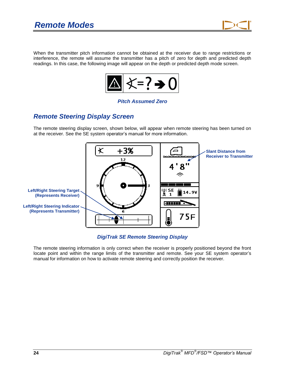

When the transmitter pitch information cannot be obtained at the receiver due to range restrictions or interference, the remote will assume the transmitter has a pitch of zero for depth and predicted depth readings. In this case, the following image will appear on the depth or predicted depth mode screen.



#### *Pitch Assumed Zero*

### <span id="page-23-0"></span>*Remote Steering Display Screen*

The remote steering display screen, shown below, will appear when remote steering has been turned on at the receiver. See the SE system operator's manual for more information.



*DigiTrak SE Remote Steering Display*

The remote steering information is only correct when the receiver is properly positioned beyond the front locate point and within the range limits of the transmitter and remote. See your SE system operator's manual for information on how to activate remote steering and correctly position the receiver.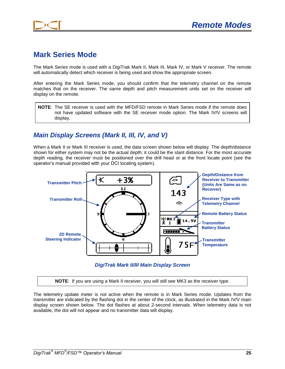

## <span id="page-24-0"></span>**Mark Series Mode**

The Mark Series mode is used with a DigiTrak Mark II, Mark III, Mark IV, or Mark V receiver. The remote will automatically detect which receiver is being used and show the appropriate screen.

After entering the Mark Series mode, you should confirm that the telemetry channel on the remote matches that on the receiver. The same depth and pitch measurement units set on the receiver will display on the remote.

**NOTE**: The SE receiver is used with the MFD/FSD remote in Mark Series mode if the remote does not have updated software with the SE receiver mode option. The Mark IV/V screens will display.

### <span id="page-24-1"></span>*Main Display Screens (Mark II, III, IV, and V)*

When a Mark II or Mark III receiver is used, the data screen shown below will display. The depth/distance shown for either system may not be the actual depth; it could be the slant distance. For the most accurate depth reading, the receiver must be positioned over the drill head or at the front locate point (see the operator's manual provided with your DCI locating system).



*DigiTrak Mark II/III Main Display Screen*

**NOTE**: If you are using a Mark II receiver, you will still see MK3 as the receiver type.

The telemetry update meter is not active when the remote is in Mark Series mode. Updates from the transmitter are indicated by the flashing dot in the center of the clock, as illustrated in the Mark IV/V main display screen shown below. The dot flashes at about 2-second intervals. When telemetry data is not available, the dot will not appear and no transmitter data will display.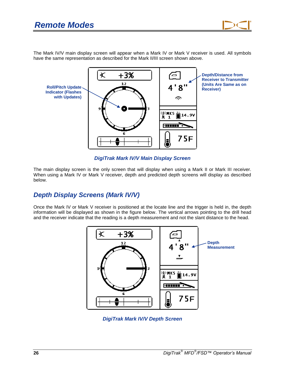

The Mark IV/V main display screen will appear when a Mark IV or Mark V receiver is used. All symbols have the same representation as described for the Mark II/III screen shown above.



*DigiTrak Mark IV/V Main Display Screen*

The main display screen is the only screen that will display when using a Mark II or Mark III receiver. When using a Mark IV or Mark V receiver, depth and predicted depth screens will display as described below.

### <span id="page-25-0"></span>*Depth Display Screens (Mark IV/V)*

Once the Mark IV or Mark V receiver is positioned at the locate line and the trigger is held in, the depth information will be displayed as shown in the figure below. The vertical arrows pointing to the drill head and the receiver indicate that the reading is a depth measurement and not the slant distance to the head.



*DigiTrak Mark IV/V Depth Screen*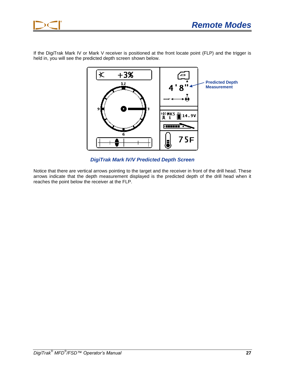

If the DigiTrak Mark IV or Mark V receiver is positioned at the front locate point (FLP) and the trigger is held in, you will see the predicted depth screen shown below.



*DigiTrak Mark IV/V Predicted Depth Screen*

Notice that there are vertical arrows pointing to the target and the receiver in front of the drill head. These arrows indicate that the depth measurement displayed is the predicted depth of the drill head when it reaches the point below the receiver at the FLP.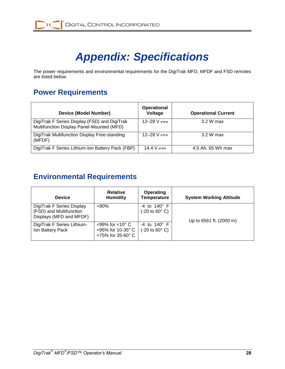# *Appendix: Specifications*

<span id="page-27-0"></span>The power requirements and environmental requirements for the DigiTrak MFD, MFDF and FSD remotes are listed below.

# <span id="page-27-1"></span>**Power Requirements**

| <b>Device (Model Number)</b>                                                              | <b>Operational</b><br>Voltage | <b>Operational Current</b> |
|-------------------------------------------------------------------------------------------|-------------------------------|----------------------------|
| DigiTrak F Series Display (FSD) and DigiTrak<br>Multifunction Display Panel-Mounted (MFD) | 12–28 V $=$                   | 3.2 W max                  |
| DigiTrak Multifunction Display Free-standing<br>(MFDF)                                    | 12–28 V $=$                   | 3.2 W max                  |
| DigiTrak F Series Lithium-Ion Battery Pack (FBP)                                          | 14.4 V $=$                    | 4.5 Ah, 65 Wh max          |

# <span id="page-27-2"></span>**Environmental Requirements**

| <b>Device</b>                                                                   | <b>Relative</b><br><b>Humidity</b>                                                     | <b>Operating</b><br><b>Temperature</b>                              | <b>System Working Altitude</b> |
|---------------------------------------------------------------------------------|----------------------------------------------------------------------------------------|---------------------------------------------------------------------|--------------------------------|
| DigiTrak F Series Display<br>(FSD) and Multifunction<br>Displays (MFD and MFDF) | $90%$                                                                                  | $-4$ to $140^{\circ}$ F<br>$(-20 \text{ to } 60^{\circ} \text{ C})$ | Up to 6561 ft. (2000 m)        |
| DigiTrak F Series Lithium-<br>Ion Battery Pack                                  | $<$ 99% for $<$ 10 $^{\circ}$ C<br><95% for 10-35° C<br>$<$ 75% for 35-60 $^{\circ}$ C | $-4$ to $140^{\circ}$ F<br>$(-20 \text{ to } 60^{\circ} \text{ C})$ |                                |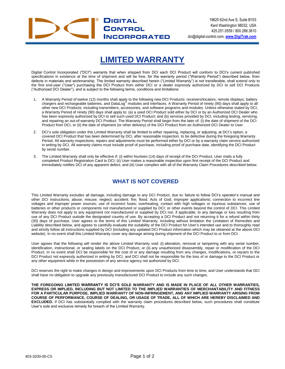

# **LIMITED WARRANTY**

Digital Control Incorporated ("DCI") warrants that when shipped from DCI each DCI Product will conform to DCI's current published specifications in existence at the time of shipment and will be free, for the warranty period ("Warranty Period") described below, from defects in materials and workmanship. The limited warranty described herein ("Limited Warranty") is not transferable, shall extend only to the first end-user ("User") purchasing the DCI Product from either DCI or a dealer expressly authorized by DCI to sell DCI Products ("Authorized DCI Dealer"), and is subject to the following terms, conditions and limitations:

- 1. A Warranty Period of twelve (12) months shall apply to the following new DCI Products: receivers/locators, remote displays, battery<br>chargers and rechargeable batteries, and DataLog® modules and interfaces. A Warranty Pe other new DCI Products, including transmitters, accessories, and software programs and modules. Unless otherwise stated by DCI, a Warranty Period of ninety (90) days shall apply to: (a) a used DCI Product sold either by DCI or by an Authorized DCI Dealer who has been expressly authorized by DCI to sell such used DCI Product; and (b) services provided by DCI, including testing, servicing, and repairing an out-of-warranty DCI Product. The Warranty Period shall begin from the later of: (i) the date of shipment of the DCI Product from DCI, or (ii) the date of shipment (or other delivery) of the DCI Product from an Authorized DCI Dealer to User.
- 2. DCI's sole obligation under this Limited Warranty shall be limited to either repairing, replacing, or adjusting, at DCI's option, a covered DCI Product that has been determined by DCI, after reasonable inspection, to be defective during the foregoing Warranty Period. All warranty inspections, repairs and adjustments must be performed either by DCI or by a warranty claim service authorized in writing by DCI. All warranty claims must include proof of purchase, including proof of purchase date, identifying the DCI Product by serial number.
- 3. The Limited Warranty shall only be effective if: (i) within fourteen (14) days of receipt of the DCI Product, User mails a fully completed Product Registration Card to DCI; (ii) User makes a reasonable inspection upon first receipt of the DCI Product and immediately notifies DCI of any apparent defect; and (iii) User complies with all of the Warranty Claim Procedures described below.

#### **WHAT IS NOT COVERED**

This Limited Warranty excludes all damage, including damage to any DCI Product, due to: failure to follow DCI's operator's manual and other DCI instructions; abuse; misuse; neglect; accident; fire; flood; Acts of God; improper applications; connection to incorrect line voltages and improper power sources; use of incorrect fuses; overheating; contact with high voltages or injurious substances; use of batteries or other products or components not manufactured or supplied by DCI; or other events beyond the control of DCI. This Limited Warranty does not apply to any equipment not manufactured or supplied by DCI nor, if applicable, to any damage or loss resulting from use of any DCI Product outside the designated country of use. By accepting a DCI Product and not returning it for a refund within thirty (30) days of purchase, User agrees to the terms of this Limited Warranty, including without limitation the Limitation of Remedies and Liability described below, and agrees to carefully evaluate the suitability of the DCI Product for User's intended use and to thoroughly read and strictly follow all instructions supplied by DCI (including any updated DCI Product information which may be obtained at the above DCI website). In no event shall this Limited Warranty cover any damage arising during shipment of the DCI Product to or from DCI.

User agrees that the following will render the above Limited Warranty void: (i) alteration, removal or tampering with any serial number, identification, instructional, or sealing labels on the DCI Product, or (ii) any unauthorized disassembly, repair or modification of the DCI Product. In no event shall DCI be responsible for the cost of or any damage resulting from any changes, modifications, or repairs to the DCI Product not expressly authorized in writing by DCI, and DCI shall not be responsible for the loss of or damage to the DCI Product or any other equipment while in the possession of any service agency not authorized by DCI.

DCI reserves the right to make changes in design and improvements upon DCI Products from time to time, and User understands that DCI shall have no obligation to upgrade any previously manufactured DCI Product to include any such changes.

**THE FOREGOING LIMITED WARRANTY IS DCI'S SOLE WARRANTY AND IS MADE IN PLACE OF ALL OTHER WARRANTIES, EXPRESS OR IMPLIED, INCLUDING BUT NOT LIMITED TO THE IMPLIED WARRANTIES OF MERCHANTABILITY AND FITNESS FOR A PARTICULAR PURPOSE, IMPLIED WARRANTY OF NON-INFRINGEMENT, AND ANY IMPLIED WARRANTY ARISING FROM COURSE OF PERFORMANCE, COURSE OF DEALING, OR USAGE OF TRADE, ALL OF WHICH ARE HEREBY DISCLAIMED AND EXCLUDED.** If DCI has substantially complied with the warranty claim procedures described below, such procedures shall constitute User's sole and exclusive remedy for breach of the Limited Warranty.